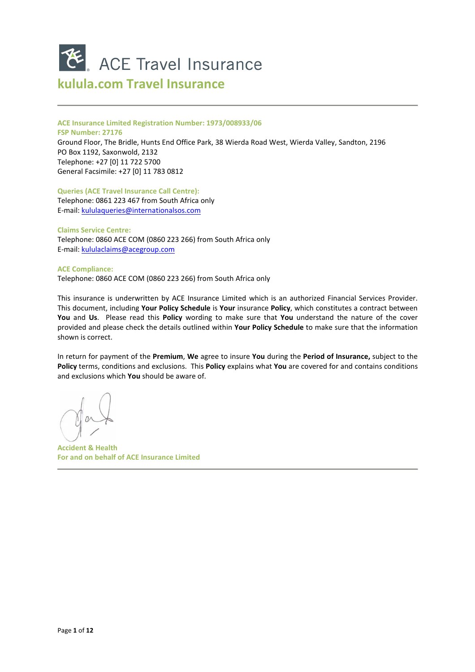

# **kulula.com Travel Insurance**

#### **ACE Insurance Limited Registration Number: 1973/008933/06**

**FSP Number: 27176** 

Ground Floor, The Bridle, Hunts End Office Park, 38 Wierda Road West, Wierda Valley, Sandton, 2196 PO Box 1192, Saxonwold, 2132 Telephone: +27 [0] 11 722 5700 General Facsimile: +27 [0] 11 783 0812

**Queries (ACE Travel Insurance Call Centre):** 

Telephone: 0861 223 467 from South Africa only E-mail: kululaqueries@internationalsos.com

**Claims Service Centre:**  Telephone: 0860 ACE COM (0860 223 266) from South Africa only E-mail: kululaclaims@acegroup.com

**ACE Compliance:**  Telephone: 0860 ACE COM (0860 223 266) from South Africa only

This insurance is underwritten by ACE Insurance Limited which is an authorized Financial Services Provider. This document, including **Your Policy Schedule** is **Your** insurance **Policy**, which constitutes a contract between **You** and **Us**. Please read this **Policy** wording to make sure that **You** understand the nature of the cover provided and please check the details outlined within **Your Policy Schedule** to make sure that the information shown is correct.

In return for payment of the **Premium**, **We** agree to insure **You** during the **Period of Insurance,** subject to the **Policy** terms, conditions and exclusions. This **Policy** explains what **You** are covered for and contains conditions and exclusions which **You** should be aware of.

**Accident & Health For and on behalf of ACE Insurance Limited**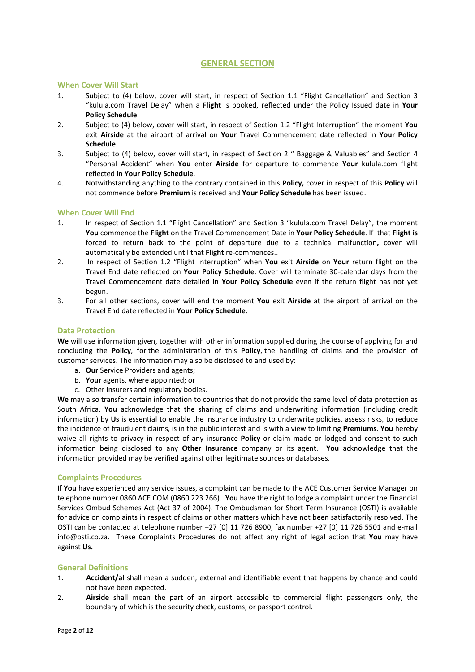# **GENERAL SECTION**

#### **When Cover Will Start**

- 1. Subject to (4) below, cover will start, in respect of Section 1.1 "Flight Cancellation" and Section 3 "kulula.com Travel Delay" when a **Flight** is booked, reflected under the Policy Issued date in **Your Policy Schedule**.
- 2. Subject to (4) below, cover will start, in respect of Section 1.2 "Flight Interruption" the moment **You** exit **Airside** at the airport of arrival on **Your** Travel Commencement date reflected in **Your Policy Schedule**.
- 3. Subject to (4) below, cover will start, in respect of Section 2 " Baggage & Valuables" and Section 4 "Personal Accident" when **You** enter **Airside** for departure to commence **Your** kulula.com flight reflected in **Your Policy Schedule**.
- 4. Notwithstanding anything to the contrary contained in this **Policy,** cover in respect of this **Policy** will not commence before **Premium** is received and **Your Policy Schedule** has been issued.

### **When Cover Will End**

- 1. In respect of Section 1.1 "Flight Cancellation" and Section 3 "kulula.com Travel Delay", the moment **You** commence the **Flight** on the Travel Commencement Date in **Your Policy Schedule**. If that **Flight is**  forced to return back to the point of departure due to a technical malfunction**,** cover will automatically be extended until that **Flight** re-commences..
- 2. In respect of Section 1.2 "Flight Interruption" when **You** exit **Airside** on **Your** return flight on the Travel End date reflected on **Your Policy Schedule**. Cover will terminate 30-calendar days from the Travel Commencement date detailed in **Your Policy Schedule** even if the return flight has not yet begun.
- 3. For all other sections, cover will end the moment **You** exit **Airside** at the airport of arrival on the Travel End date reflected in **Your Policy Schedule**.

#### **Data Protection**

**We** will use information given, together with other information supplied during the course of applying for and concluding the **Policy**, for the administration of this **Policy**, the handling of claims and the provision of customer services. The information may also be disclosed to and used by:

- a. **Our** Service Providers and agents;
- b. **Your** agents, where appointed; or
- c. Other insurers and regulatory bodies.

**We** may also transfer certain information to countries that do not provide the same level of data protection as South Africa. **You** acknowledge that the sharing of claims and underwriting information (including credit information) by **Us** is essential to enable the insurance industry to underwrite policies, assess risks, to reduce the incidence of fraudulent claims, is in the public interest and is with a view to limiting **Premiums**. **You** hereby waive all rights to privacy in respect of any insurance **Policy** or claim made or lodged and consent to such information being disclosed to any **Other Insurance** company or its agent. **You** acknowledge that the information provided may be verified against other legitimate sources or databases.

### **Complaints Procedures**

If **You** have experienced any service issues, a complaint can be made to the ACE Customer Service Manager on telephone number 0860 ACE COM (0860 223 266). **You** have the right to lodge a complaint under the Financial Services Ombud Schemes Act (Act 37 of 2004). The Ombudsman for Short Term Insurance (OSTI) is available for advice on complaints in respect of claims or other matters which have not been satisfactorily resolved. The OSTI can be contacted at telephone number +27 [0] 11 726 8900, fax number +27 [0] 11 726 5501 and e-mail info@osti.co.za. These Complaints Procedures do not affect any right of legal action that **You** may have against **Us.**

### **General Definitions**

- 1. **Accident/al** shall mean a sudden, external and identifiable event that happens by chance and could not have been expected.
- 2. **Airside** shall mean the part of an airport accessible to commercial flight passengers only, the boundary of which is the security check, customs, or passport control.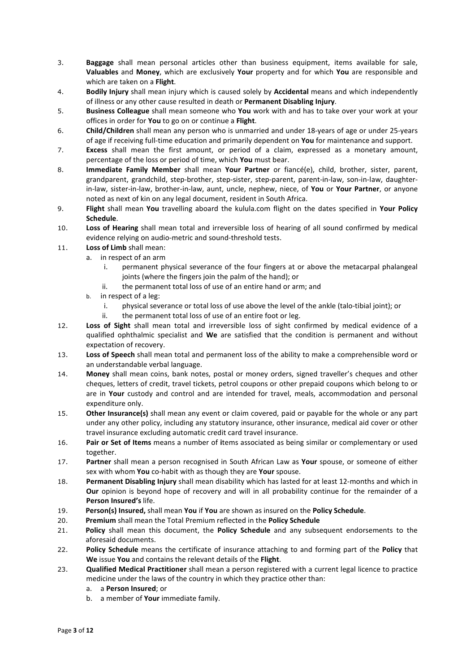- 3. **Baggage** shall mean personal articles other than business equipment, items available for sale, **Valuables** and **Money**, which are exclusively **Your** property and for which **You** are responsible and which are taken on a **Flight**.
- 4. **Bodily Injury** shall mean injury which is caused solely by **Accidental** means and which independently of illness or any other cause resulted in death or **Permanent Disabling Injury**.
- 5. **Business Colleague** shall mean someone who **You** work with and has to take over your work at your offices in order for **You** to go on or continue a **Flight**.
- 6. **Child/Children** shall mean any person who is unmarried and under 18-years of age or under 25-years of age if receiving full-time education and primarily dependent on **You** for maintenance and support.
- 7. **Excess** shall mean the first amount, or period of a claim, expressed as a monetary amount, percentage of the loss or period of time, which **You** must bear.
- 8. **Immediate Family Member** shall mean **Your Partner** or fiancé(e), child, brother, sister, parent, grandparent, grandchild, step-brother, step-sister, step-parent, parent-in-law, son-in-law, daughterin-law, sister-in-law, brother-in-law, aunt, uncle, nephew, niece, of **You** or **Your Partner**, or anyone noted as next of kin on any legal document, resident in South Africa.
- 9. **Flight** shall mean **You** travelling aboard the kulula.com flight on the dates specified in **Your Policy Schedule**.
- 10. **Loss of Hearing** shall mean total and irreversible loss of hearing of all sound confirmed by medical evidence relying on audio-metric and sound-threshold tests.
- 11. **Loss of Limb** shall mean:
	- a. in respect of an arm
		- i. permanent physical severance of the four fingers at or above the metacarpal phalangeal joints (where the fingers join the palm of the hand); or
		- ii. the permanent total loss of use of an entire hand or arm; and
	- b. in respect of a leg:
		- i. physical severance or total loss of use above the level of the ankle (talo-tibial joint); or
		- ii. the permanent total loss of use of an entire foot or leg.
- 12. **Loss of Sight** shall mean total and irreversible loss of sight confirmed by medical evidence of a qualified ophthalmic specialist and **We** are satisfied that the condition is permanent and without expectation of recovery.
- 13. **Loss of Speech** shall mean total and permanent loss of the ability to make a comprehensible word or an understandable verbal language.
- 14. **Money** shall mean coins, bank notes, postal or money orders, signed traveller's cheques and other cheques, letters of credit, travel tickets, petrol coupons or other prepaid coupons which belong to or are in **Your** custody and control and are intended for travel, meals, accommodation and personal expenditure only.
- 15. **Other Insurance(s)** shall mean any event or claim covered, paid or payable for the whole or any part under any other policy, including any statutory insurance, other insurance, medical aid cover or other travel insurance excluding automatic credit card travel insurance.
- 16. **Pair or Set of Items** means a number of **i**tems associated as being similar or complementary or used together.
- 17. **Partner** shall mean a person recognised in South African Law as **Your** spouse, or someone of either sex with whom **You** co-habit with as though they are **Your** spouse.
- 18. **Permanent Disabling Injury** shall mean disability which has lasted for at least 12-months and which in **Our** opinion is beyond hope of recovery and will in all probability continue for the remainder of a **Person Insured's** life.
- 19. **Person(s) Insured,** shall mean **You** if **You** are shown as insured on the **Policy Schedule**.
- 20. **Premium** shall mean the Total Premium reflected in the **Policy Schedule**
- 21. **Policy** shall mean this document, the **Policy Schedule** and any subsequent endorsements to the aforesaid documents.
- 22. **Policy Schedule** means the certificate of insurance attaching to and forming part of the **Policy** that **We** issue **You** and contains the relevant details of the **Flight**.
- 23. **Qualified Medical Practitioner** shall mean a person registered with a current legal licence to practice medicine under the laws of the country in which they practice other than:
	- a. a **Person Insured**; or
	- b. a member of **Your** immediate family.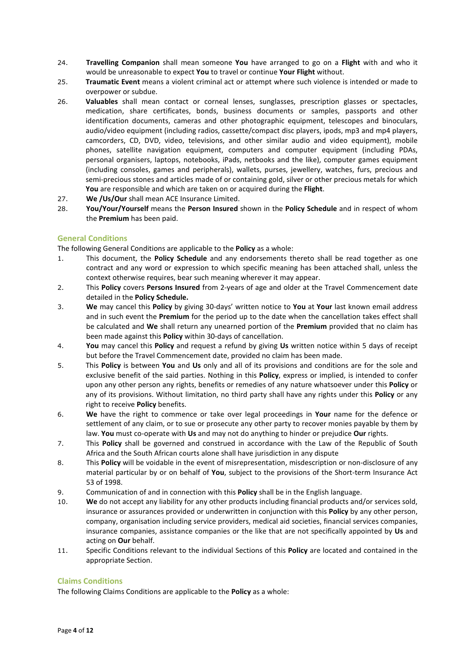- 24. **Travelling Companion** shall mean someone **You** have arranged to go on a **Flight** with and who it would be unreasonable to expect **You** to travel or continue **Your Flight** without.
- 25. **Traumatic Event** means a violent criminal act or attempt where such violence is intended or made to overpower or subdue.
- 26. **Valuables** shall mean contact or corneal lenses, sunglasses, prescription glasses or spectacles, medication, share certificates, bonds, business documents or samples, passports and other identification documents, cameras and other photographic equipment, telescopes and binoculars, audio/video equipment (including radios, cassette/compact disc players, ipods, mp3 and mp4 players, camcorders, CD, DVD, video, televisions, and other similar audio and video equipment), mobile phones, satellite navigation equipment, computers and computer equipment (including PDAs, personal organisers, laptops, notebooks, iPads, netbooks and the like), computer games equipment (including consoles, games and peripherals), wallets, purses, jewellery, watches, furs, precious and semi-precious stones and articles made of or containing gold, silver or other precious metals for which **You** are responsible and which are taken on or acquired during the **Flight**.
- 27. **We /Us/Our** shall mean ACE Insurance Limited.
- 28. **You/Your/Yourself** means the **Person Insured** shown in the **Policy Schedule** and in respect of whom the **Premium** has been paid.

#### **General Conditions**

The following General Conditions are applicable to the **Policy** as a whole:

- 1. This document, the **Policy Schedule** and any endorsements thereto shall be read together as one contract and any word or expression to which specific meaning has been attached shall, unless the context otherwise requires, bear such meaning wherever it may appear.
- 2. This **Policy** covers **Persons Insured** from 2-years of age and older at the Travel Commencement date detailed in the **Policy Schedule.**
- 3. **We** may cancel this **Policy** by giving 30-days' written notice to **You** at **Your** last known email address and in such event the **Premium** for the period up to the date when the cancellation takes effect shall be calculated and **We** shall return any unearned portion of the **Premium** provided that no claim has been made against this **Policy** within 30-days of cancellation.
- 4. **You** may cancel this **Policy** and request a refund by giving **Us** written notice within 5 days of receipt but before the Travel Commencement date, provided no claim has been made.
- 5. This **Policy** is between **You** and **Us** only and all of its provisions and conditions are for the sole and exclusive benefit of the said parties. Nothing in this **Policy**, express or implied, is intended to confer upon any other person any rights, benefits or remedies of any nature whatsoever under this **Policy** or any of its provisions. Without limitation, no third party shall have any rights under this **Policy** or any right to receive **Policy** benefits.
- 6. **We** have the right to commence or take over legal proceedings in **Your** name for the defence or settlement of any claim, or to sue or prosecute any other party to recover monies payable by them by law. **You** must co-operate with **Us** and may not do anything to hinder or prejudice **Our** rights.
- 7. This **Policy** shall be governed and construed in accordance with the Law of the Republic of South Africa and the South African courts alone shall have jurisdiction in any dispute
- 8. This **Policy** will be voidable in the event of misrepresentation, misdescription or non-disclosure of any material particular by or on behalf of **You**, subject to the provisions of the Short-term Insurance Act 53 of 1998.
- 9. Communication of and in connection with this **Policy** shall be in the English language.
- 10. **We** do not accept any liability for any other products including financial products and/or services sold, insurance or assurances provided or underwritten in conjunction with this **Policy** by any other person, company, organisation including service providers, medical aid societies, financial services companies, insurance companies, assistance companies or the like that are not specifically appointed by **Us** and acting on **Our** behalf.
- 11. Specific Conditions relevant to the individual Sections of this **Policy** are located and contained in the appropriate Section.

# **Claims Conditions**

The following Claims Conditions are applicable to the **Policy** as a whole: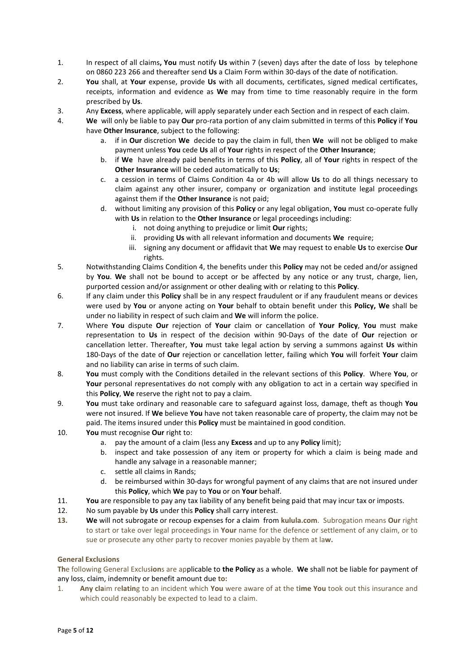- 1. In respect of all claims**, You** must notify **Us** within 7 (seven) days after the date of loss by telephone on 0860 223 266 and thereafter send **Us** a Claim Form within 30-days of the date of notification.
- 2. **You** shall, at **Your** expense, provide **Us** with all documents, certificates, signed medical certificates, receipts, information and evidence as **We** may from time to time reasonably require in the form prescribed by **Us**.
- 3. Any **Excess**, where applicable, will apply separately under each Section and in respect of each claim.
- 4. **We** will only be liable to pay **Our** pro-rata portion of any claim submitted in terms of this **Policy** if **You** have **Other Insurance**, subject to the following:
	- a. if in **Our** discretion **We** decide to pay the claim in full, then **We** will not be obliged to make payment unless **You** cede **Us** all of **Your** rights in respect of the **Other Insurance**;
	- b. if **We** have already paid benefits in terms of this **Policy**, all of **Your** rights in respect of the **Other Insurance** will be ceded automatically to **Us**;
	- c. a cession in terms of Claims Condition 4a or 4b will allow **Us** to do all things necessary to claim against any other insurer, company or organization and institute legal proceedings against them if the **Other Insurance** is not paid;
	- d. without limiting any provision of this **Policy** or any legal obligation, **You** must co-operate fully with **Us** in relation to the **Other Insurance** or legal proceedings including:
		- i. not doing anything to prejudice or limit **Our** rights;
		- ii. providing **Us** with all relevant information and documents **We** require;
		- iii. signing any document or affidavit that **We** may request to enable **Us** to exercise **Our** rights.
- 5. Notwithstanding Claims Condition 4, the benefits under this **Policy** may not be ceded and/or assigned by **You**. **We** shall not be bound to accept or be affected by any notice or any trust, charge, lien, purported cession and/or assignment or other dealing with or relating to this **Policy**.
- 6. If any claim under this **Policy** shall be in any respect fraudulent or if any fraudulent means or devices were used by **You** or anyone acting on **Your** behalf to obtain benefit under this **Policy, We** shall be under no liability in respect of such claim and **We** will inform the police.
- 7. Where **You** dispute **Our** rejection of **Your** claim or cancellation of **Your Policy**, **You** must make representation to **Us** in respect of the decision within 90-Days of the date of **Our** rejection or cancellation letter. Thereafter, **You** must take legal action by serving a summons against **Us** within 180-Days of the date of **Our** rejection or cancellation letter, failing which **You** will forfeit **Your** claim and no liability can arise in terms of such claim.
- 8. **You** must comply with the Conditions detailed in the relevant sections of this **Policy**. Where **You**, or **Your** personal representatives do not comply with any obligation to act in a certain way specified in this **Policy**, **We** reserve the right not to pay a claim.
- 9. **You** must take ordinary and reasonable care to safeguard against loss, damage, theft as though **You**  were not insured. If **We** believe **You** have not taken reasonable care of property, the claim may not be paid. The items insured under this **Policy** must be maintained in good condition.
- 10. **You** must recognise **Our** right to:
	- a. pay the amount of a claim (less any **Excess** and up to any **Policy** limit);
	- inspect and take possession of any item or property for which a claim is being made and handle any salvage in a reasonable manner;
	- c. settle all claims in Rands;
	- d. be reimbursed within 30-days for wrongful payment of any claims that are not insured under this **Policy**, which **We** pay to **You** or on **Your** behalf.
- 11. **You** are responsible to pay any tax liability of any benefit being paid that may incur tax or imposts.
- 12. No sum payable by **Us** under this **Policy** shall carry interest.
- **13. We** will not subrogate or recoup expenses for a claim from **kulula.com**. Subrogation means **Our** right to start or take over legal proceedings in **Your** name for the defence or settlement of any claim, or to sue or prosecute any other party to recover monies payable by them at la**w.**

### **General Exclusions**

**Th**e following General Exclus**ion**s are applicable to **the Policy** as a whole. **We** shall not be liable for payment of any loss, claim, indemnity or benefit amount due **to:** 

1. **Any cla**im re**latin**g to an incident which **You** were aware of at the t**ime You** took out this insurance and which could reasonably be expected to lead to a claim.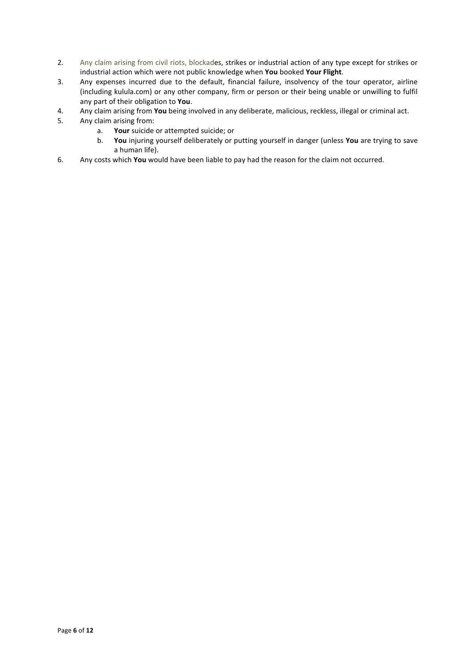- 2. Any claim arising from civil riots, blockades, strikes or industrial action of any type except for strikes or industrial action which were not public knowledge when **You** booked **Your Flight**.
- 3. Any expenses incurred due to the default, financial failure, insolvency of the tour operator, airline (including kulula.com) or any other company, firm or person or their being unable or unwilling to fulfil any part of their obligation to **You**.
- 4. Any claim arising from **You** being involved in any deliberate, malicious, reckless, illegal or criminal act.
- 5. Any claim arising from:
	- a. **Your** suicide or attempted suicide; or
	- b. **You** injuring yourself deliberately or putting yourself in danger (unless **You** are trying to save a human life).
- 6. Any costs which **You** would have been liable to pay had the reason for the claim not occurred.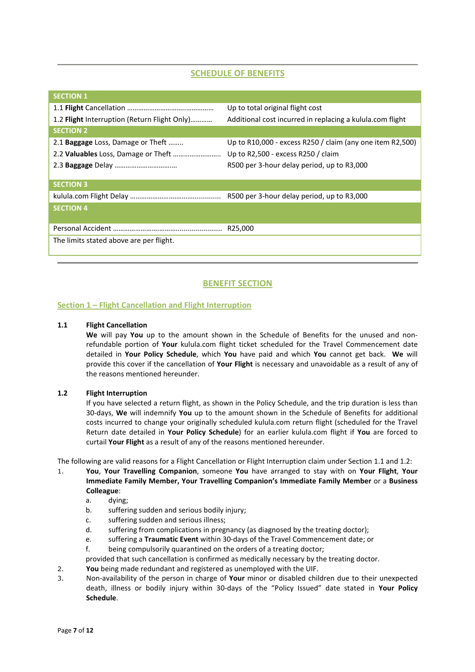# **SCHEDULE OF BENEFITS**

| <b>SECTION 1</b>                             |                                                           |
|----------------------------------------------|-----------------------------------------------------------|
|                                              | Up to total original flight cost                          |
| 1.2 Flight Interruption (Return Flight Only) | Additional cost incurred in replacing a kulula.com flight |
| <b>SECTION 2</b>                             |                                                           |
| 2.1 <b>Baggage</b> Loss, Damage or Theft     | Up to R10,000 - excess R250 / claim (any one item R2,500) |
| 2.2 Valuables Loss, Damage or Theft          | Up to R2,500 - excess R250 / claim                        |
|                                              | R500 per 3-hour delay period, up to R3,000                |
|                                              |                                                           |
| <b>SECTION 3</b>                             |                                                           |
|                                              | R500 per 3-hour delay period, up to R3,000                |
| <b>SECTION 4</b>                             |                                                           |
|                                              |                                                           |
|                                              | R25,000                                                   |
| The limits stated above are per flight.      |                                                           |
|                                              |                                                           |

# **BENEFIT SECTION**

### **Section 1 – Flight Cancellation and Flight Interruption**

#### **1.1 Flight Cancellation**

**We** will pay **You** up to the amount shown in the Schedule of Benefits for the unused and nonrefundable portion of **Your** kulula.com flight ticket scheduled for the Travel Commencement date detailed in **Your Policy Schedule**, which **You** have paid and which **You** cannot get back. **We** will provide this cover if the cancellation of **Your Flight** is necessary and unavoidable as a result of any of the reasons mentioned hereunder.

### **1.2 Flight Interruption**

If you have selected a return flight, as shown in the Policy Schedule, and the trip duration is less than 30-days, **We** will indemnify **You** up to the amount shown in the Schedule of Benefits for additional costs incurred to change your originally scheduled kulula.com return flight (scheduled for the Travel Return date detailed in **Your Policy Schedule**) for an earlier kulula.com flight if **You** are forced to curtail **Your Flight** as a result of any of the reasons mentioned hereunder.

The following are valid reasons for a Flight Cancellation or Flight Interruption claim under Section 1.1 and 1.2:

- 1. **You**, **Your Travelling Companion**, someone **You** have arranged to stay with on **Your Flight**, **Your Immediate Family Member, Your Travelling Companion's Immediate Family Member** or a **Business Colleague**:
	- a. dying;
	- b. suffering sudden and serious bodily injury;
	- c. suffering sudden and serious illness;
	- d. suffering from complications in pregnancy (as diagnosed by the treating doctor);
	- e. suffering a **Traumatic Event** within 30-days of the Travel Commencement date; or
	- f. being compulsorily quarantined on the orders of a treating doctor;
	- provided that such cancellation is confirmed as medically necessary by the treating doctor.
- 2. **You** being made redundant and registered as unemployed with the UIF.
- 3. Non-availability of the person in charge of **Your** minor or disabled children due to their unexpected death, illness or bodily injury within 30-days of the "Policy Issued" date stated in **Your Policy Schedule**.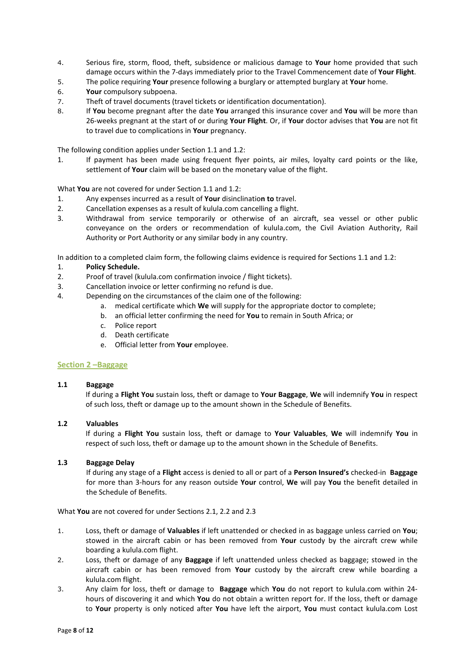- 4. Serious fire, storm, flood, theft, subsidence or malicious damage to **Your** home provided that such damage occurs within the 7-days immediately prior to the Travel Commencement date of **Your Flight**.
- 5. The police requiring **Your** presence following a burglary or attempted burglary at **Your** home.
- 6. **Your** compulsory subpoena.
- 7. Theft of travel documents (travel tickets or identification documentation).
- 8. If **You** become pregnant after the date **You** arranged this insurance cover and **You** will be more than 26-weeks pregnant at the start of or during **Your Flight**. Or, if **Your** doctor advises that **You** are not fit to travel due to complications in **Your** pregnancy.

The following condition applies under Section 1.1 and 1.2:

1. If payment has been made using frequent flyer points, air miles, loyalty card points or the like. settlement of **Your** claim will be based on the monetary value of the flight.

What **You** are not covered for under Section 1.1 and 1.2:

- 1. Any expenses incurred as a result of **Your** disinclinatio**n to** travel.
- 2. Cancellation expenses as a result of kulula.com cancelling a flight.
- 3. Withdrawal from service temporarily or otherwise of an aircraft, sea vessel or other public conveyance on the orders or recommendation of kulula.com, the Civil Aviation Authority, Rail Authority or Port Authority or any similar body in any country.

In addition to a completed claim form, the following claims evidence is required for Sections 1.1 and 1.2:

- 1. **Policy Schedule.**
- 2. Proof of travel (kulula.com confirmation invoice / flight tickets).
- 3. Cancellation invoice or letter confirming no refund is due.
- 4. Depending on the circumstances of the claim one of the following:
	- a. medical certificate which **We** will supply for the appropriate doctor to complete;
	- b. an official letter confirming the need for **You** to remain in South Africa; or
	- c. Police report
	- d. Death certificate
	- e. Official letter from **Your** employee.

#### **Section 2 –Baggage**

#### **1.1 Baggage**

If during a **Flight You** sustain loss, theft or damage to **Your Baggage**, **We** will indemnify **You** in respect of such loss, theft or damage up to the amount shown in the Schedule of Benefits.

#### **1.2 Valuables**

If during a **Flight You** sustain loss, theft or damage to **Your Valuables**, **We** will indemnify **You** in respect of such loss, theft or damage up to the amount shown in the Schedule of Benefits.

#### **1.3 Baggage Delay**

If during any stage of a **Flight** access is denied to all or part of a **Person Insured's** checked-in **Baggage** for more than 3-hours for any reason outside **Your** control, **We** will pay **You** the benefit detailed in the Schedule of Benefits.

What **You** are not covered for under Sections 2.1, 2.2 and 2.3

- 1. Loss, theft or damage of **Valuables** if left unattended or checked in as baggage unless carried on **You**; stowed in the aircraft cabin or has been removed from **Your** custody by the aircraft crew while boarding a kulula.com flight.
- 2. Loss, theft or damage of any **Baggage** if left unattended unless checked as baggage; stowed in the aircraft cabin or has been removed from **Your** custody by the aircraft crew while boarding a kulula.com flight.
- 3. Any claim for loss, theft or damage to **Baggage** which **You** do not report to kulula.com within 24 hours of discovering it and which **You** do not obtain a written report for. If the loss, theft or damage to **Your** property is only noticed after **You** have left the airport, **You** must contact kulula.com Lost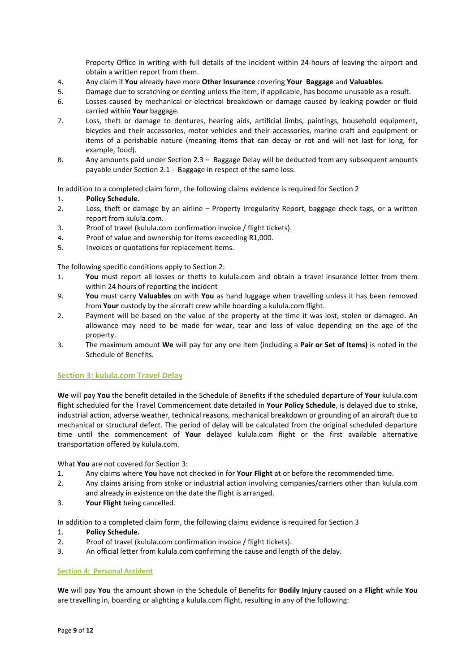Property Office in writing with full details of the incident within 24-hours of leaving the airport and obtain a written report from them.

- 4. Any claim if **You** already have more **Other Insurance** covering **Your Baggage** and **Valuables**.
- 5. Damage due to scratching or denting unless the item, if applicable, has become unusable as a result.
- 6. Losses caused by mechanical or electrical breakdown or damage caused by leaking powder or fluid carried within **Your** baggage.
- 7. Loss, theft or damage to dentures, hearing aids, artificial limbs, paintings, household equipment, bicycles and their accessories, motor vehicles and their accessories, marine craft and equipment or items of a perishable nature (meaning items that can decay or rot and will not last for long, for example, food).
- 8. Any amounts paid under Section 2.3 Baggage Delay will be deducted from any subsequent amounts payable under Section 2.1 - Baggage in respect of the same loss.

In addition to a completed claim form, the following claims evidence is required for Section 2

### 1. **Policy Schedule.**

- 2. Loss, theft or damage by an airline Property Irregularity Report, baggage check tags, or a written report from kulula.com.
- 3. Proof of travel (kulula.com confirmation invoice / flight tickets).
- 4. Proof of value and ownership for items exceeding R1,000.
- 5. Invoices or quotations for replacement items.

The following specific conditions apply to Section 2:

- 1. **You** must report all losses or thefts to kulula.com and obtain a travel insurance letter from them within 24 hours of reporting the incident
- 9. **You** must carry **Valuables** on with **You** as hand luggage when travelling unless it has been removed from **Your** custody by the aircraft crew while boarding a kulula.com flight.
- 2. Payment will be based on the value of the property at the time it was lost, stolen or damaged. An allowance may need to be made for wear, tear and loss of value depending on the age of the property.
- 3. The maximum amount **We** will pay for any one item (including a **Pair or Set of Items)** is noted in the Schedule of Benefits.

### **Section 3: kulula.com Travel Delay**

**We** will pay **You** the benefit detailed in the Schedule of Benefits if the scheduled departure of **Your** kulula.com flight scheduled for the Travel Commencement date detailed in **Your Policy Schedule**, is delayed due to strike, industrial action, adverse weather, technical reasons, mechanical breakdown or grounding of an aircraft due to mechanical or structural defect. The period of delay will be calculated from the original scheduled departure time until the commencement of **Your** delayed kulula.com flight or the first available alternative transportation offered by kulula.com.

What **You** are not covered for Section 3:

- 1. Any claims where **You** have not checked in for **Your Flight** at or before the recommended time.
- 2. Any claims arising from strike or industrial action involving companies/carriers other than kulula.com and already in existence on the date the flight is arranged.
- 3. **Your Flight** being cancelled.

In addition to a completed claim form, the following claims evidence is required for Section 3

- 1. **Policy Schedule.**
- 2. Proof of travel (kulula.com confirmation invoice / flight tickets).
- 3. An official letter from kulula.com confirming the cause and length of the delay.

### **Section 4: Personal Accident**

**We** will pay **You** the amount shown in the Schedule of Benefits for **Bodily Injury** caused on a **Flight** while **You** are travelling in, boarding or alighting a kulula.com flight, resulting in any of the following: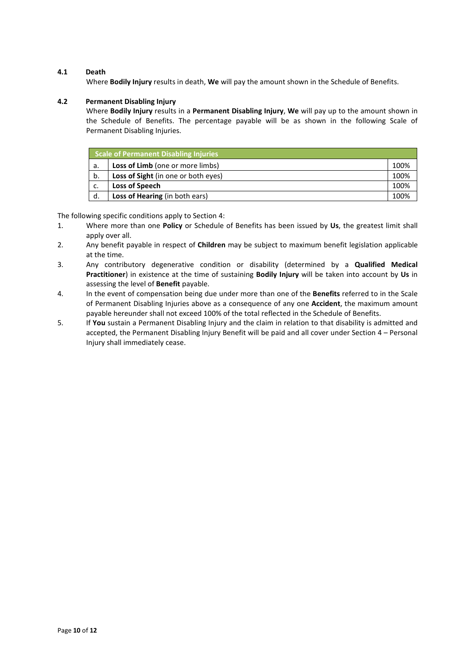# **4.1 Death**

Where **Bodily Injury** results in death, **We** will pay the amount shown in the Schedule of Benefits.

# **4.2 Permanent Disabling Injury**

Where **Bodily Injury** results in a **Permanent Disabling Injury**, **We** will pay up to the amount shown in the Schedule of Benefits. The percentage payable will be as shown in the following Scale of Permanent Disabling Injuries.

| Scale of Permanent Disabling Injuries |                                            |      |
|---------------------------------------|--------------------------------------------|------|
| а.                                    | <b>Loss of Limb</b> (one or more limbs)    | 100% |
| b.                                    | <b>Loss of Sight</b> (in one or both eyes) | 100% |
| . С.                                  | Loss of Speech                             | 100% |
| d.                                    | Loss of Hearing (in both ears)             | 100% |

The following specific conditions apply to Section 4:

- 1. Where more than one **Policy** or Schedule of Benefits has been issued by **Us**, the greatest limit shall apply over all.
- 2. Any benefit payable in respect of **Children** may be subject to maximum benefit legislation applicable at the time.
- 3. Any contributory degenerative condition or disability (determined by a **Qualified Medical Practitioner**) in existence at the time of sustaining **Bodily Injury** will be taken into account by **Us** in assessing the level of **Benefit** payable.
- 4. In the event of compensation being due under more than one of the **Benefits** referred to in the Scale of Permanent Disabling Injuries above as a consequence of any one **Accident**, the maximum amount payable hereunder shall not exceed 100% of the total reflected in the Schedule of Benefits.
- 5. If **You** sustain a Permanent Disabling Injury and the claim in relation to that disability is admitted and accepted, the Permanent Disabling Injury Benefit will be paid and all cover under Section 4 – Personal Injury shall immediately cease.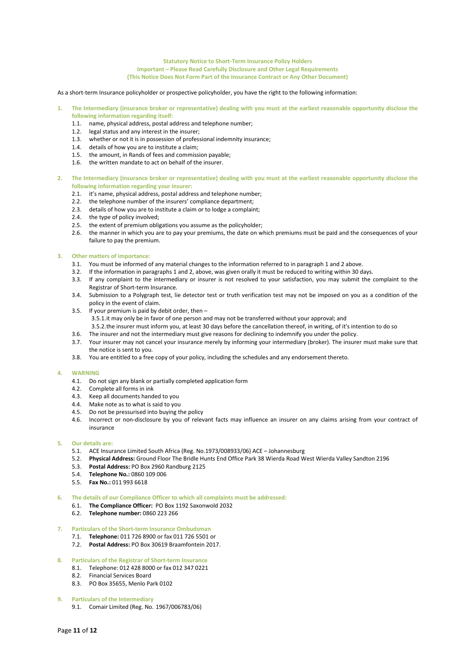#### **Statutory Notice to Short-Term Insurance Policy Holders Important – Please Read Carefully Disclosure and Other Legal Requirements (This Notice Does Not Form Part of the Insurance Contract or Any Other Document)**

As a short-term Insurance policyholder or prospective policyholder, you have the right to the following information:

- **1. The Intermediary (insurance broker or representative) dealing with you must at the earliest reasonable opportunity disclose the following information regarding itself:** 
	- 1.1. name, physical address, postal address and telephone number;
	- 1.2. legal status and any interest in the insurer;
	- 1.3. whether or not it is in possession of professional indemnity insurance;
	- 1.4. details of how you are to institute a claim;
	- 1.5. the amount, in Rands of fees and commission payable;
	- 1.6. the written mandate to act on behalf of the insurer.
- **2. The Intermediary (insurance broker or representative) dealing with you must at the earliest reasonable opportunity disclose the following information regarding your insurer:** 
	- 2.1. it's name, physical address, postal address and telephone number;
	- 2.2. the telephone number of the insurers' compliance department;
	- 2.3. details of how you are to institute a claim or to lodge a complaint;
	- 2.4. the type of policy involved;
	- 2.5. the extent of premium obligations you assume as the policyholder;
	- 2.6. the manner in which you are to pay your premiums, the date on which premiums must be paid and the consequences of your failure to pay the premium.

#### **3. Other matters of importance:**

- 3.1. You must be informed of any material changes to the information referred to in paragraph 1 and 2 above.
- 3.2. If the information in paragraphs 1 and 2, above, was given orally it must be reduced to writing within 30 days.
- 3.3. If any complaint to the intermediary or insurer is not resolved to your satisfaction, you may submit the complaint to the Registrar of Short-term Insurance.
- 3.4. Submission to a Polygraph test, lie detector test or truth verification test may not be imposed on you as a condition of the policy in the event of claim.
- 3.5. If your premium is paid by debit order, then 3.5.1.it may only be in favor of one person and may not be transferred without your approval; and 3.5.2.the insurer must inform you, at least 30 days before the cancellation thereof, in writing, of it's intention to do so
- 3.6. The insurer and not the intermediary must give reasons for declining to indemnify you under the policy.
- 3.7. Your insurer may not cancel your insurance merely by informing your intermediary (broker). The insurer must make sure that the notice is sent to you.
- 3.8. You are entitled to a free copy of your policy, including the schedules and any endorsement thereto.

#### **4. WARNING**

- 4.1. Do not sign any blank or partially completed application form
- 4.2. Complete all forms in ink
- 4.3. Keep all documents handed to you
- 4.4. Make note as to what is said to you
- 4.5. Do not be pressurised into buying the policy
- 4.6. Incorrect or non-disclosure by you of relevant facts may influence an insurer on any claims arising from your contract of insurance

#### **5. Our details are:**

- 5.1. ACE Insurance Limited South Africa (Reg. No.1973/008933/06) ACE Johannesburg
- 5.2. **Physical Address:** Ground Floor The Bridle Hunts End Office Park 38 Wierda Road West Wierda Valley Sandton 2196
- 5.3. **Postal Address:** PO Box 2960 Randburg 2125
- 5.4. **Telephone No.:** 0860 109 006
- 5.5. **Fax No.:** 011 993 6618

**6. The details of our Compliance Officer to which all complaints must be addressed:** 

- 6.1. **The Compliance Officer:** PO Box 1192 Saxonwold 2032
- 6.2. **Telephone number:** 0860 223 266
- **7. Particulars of the Short-term Insurance Ombudsman** 
	- 7.1. **Telephone:** 011 726 8900 or fax 011 726 5501 or
	- 7.2. **Postal Address:** PO Box 30619 Braamfontein 2017.
- **8. Particulars of the Registrar of Short-term Insurance** 
	- 8.1. Telephone: 012 428 8000 or fax 012 347 0221
		- 8.2. Financial Services Board
		- 8.3. PO Box 35655, Menlo Park 0102
- **9. Particulars of the Intermediary** 
	- 9.1. Comair Limited (Reg. No. 1967/006783/06)